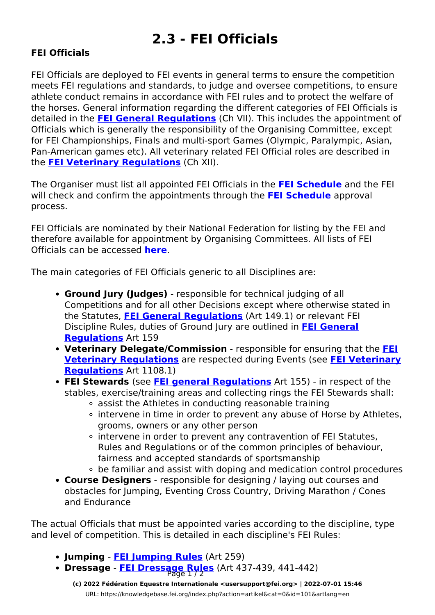## **2.3 - FEI Officials**

## **FEI Officials**

FEI Officials are deployed to FEI events in general terms to ensure the competition meets FEI regulations and standards, to judge and oversee competitions, to ensure athlete conduct remains in accordance with FEI rules and to protect the welfare of the horses. General information regarding the different categories of FEI Officials is detailed in the **[FEI General Regulations](https://inside.fei.org/fei/regulations/general-rules)** (Ch VII). This includes the appointment of Officials which is generally the responsibility of the Organising Committee, except for FEI Championships, Finals and multi-sport Games (Olympic, Paralympic, Asian, Pan-American games etc). All veterinary related FEI Official roles are described in the **[FEI Veterinary Regulations](https://inside.fei.org/fei/regulations/veterinary)** (Ch XII).

The Organiser must list all appointed FEI Officials in the **[FEI Schedule](https://knowledgebase.fei.org/index.php?action=artikel&cat=11&id=98&artlang=en)** and the FEI will check and confirm the appointments through the **[FEI Schedule](https://knowledgebase.fei.org/index.php?action=artikel&cat=11&id=98&artlang=en)** approval process.

FEI Officials are nominated by their National Federation for listing by the FEI and therefore available for appointment by Organising Committees. All lists of FEI Officials can be accessed **[here](https://inside.fei.org/fei/your-role/fei-officials-lists)**.

The main categories of FEI Officials generic to all Disciplines are:

- **Ground Jury (Judges)** responsible for technical judging of all Competitions and for all other Decisions except where otherwise stated in the Statutes, **[FEI General Regulations](https://inside.fei.org/fei/regulations/general-rules)** (Art 149.1) or relevant FEI Discipline Rules, duties of Ground Jury are outlined in **[FEI General](https://inside.fei.org/fei/regulations/general-rules) [Regulations](https://inside.fei.org/fei/regulations/general-rules)** Art 159
- **Veterinary Delegate/Commission** responsible for ensuring that the **[FEI](https://inside.fei.org/fei/regulations/veterinary) [Veterinary Regulations](https://inside.fei.org/fei/regulations/veterinary)** are respected during Events (see **[FEI Veterinary](https://inside.fei.org/fei/regulations/veterinary) [Regulations](https://inside.fei.org/fei/regulations/veterinary)** Art 1108.1)
- **FEI Stewards** (see **[FEI general Regulations](https://inside.fei.org/fei/regulations/general-rules)** Art 155) in respect of the stables, exercise/training areas and collecting rings the FEI Stewards shall:
	- assist the Athletes in conducting reasonable training
	- intervene in time in order to prevent any abuse of Horse by Athletes, grooms, owners or any other person
	- o intervene in order to prevent any contravention of FEI Statutes, Rules and Regulations or of the common principles of behaviour, fairness and accepted standards of sportsmanship
	- be familiar and assist with doping and medication control procedures
- **Course Designers** responsible for designing / laying out courses and obstacles for Jumping, Eventing Cross Country, Driving Marathon / Cones and Endurance

The actual Officials that must be appointed varies according to the discipline, type and level of competition. This is detailed in each discipline's FEI Rules:

- **Jumping [FEI Jumping Rules](https://inside.fei.org/fei/regulations/jumping)** (Art 259)
- **Dressage [FEI Dressage Rules](https://inside.fei.org/fei/regulations/dressage)** (Art 437-439, 441-442)

**(c) 2022 Fédération Equestre Internationale <usersupport@fei.org> | 2022-07-01 15:46** [URL: https://knowledgebase.fei.org/index.php?action=artikel&cat=0&id=101&artlang=en](https://knowledgebase.fei.org/index.php?action=artikel&cat=0&id=101&artlang=en)